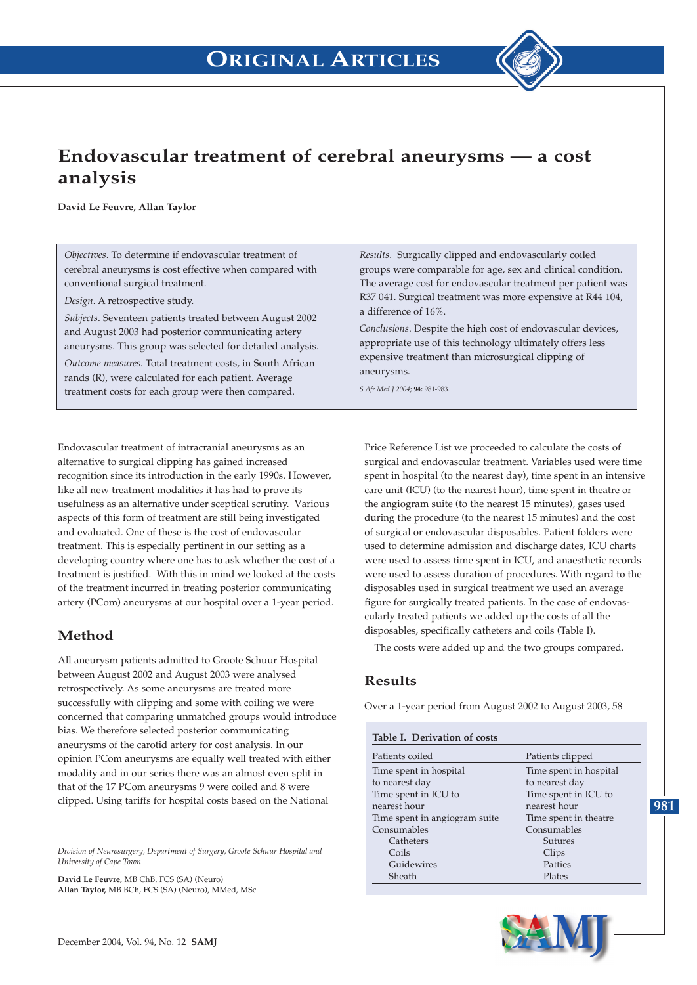

# **Endovascular treatment of cerebral aneurysms — a cost analysis**

**David Le Feuvre, Allan Taylor**

*Objectives*. To determine if endovascular treatment of cerebral aneurysms is cost effective when compared with conventional surgical treatment.

*Design*. A retrospective study.

*Subjects*. Seventeen patients treated between August 2002 and August 2003 had posterior communicating artery aneurysms. This group was selected for detailed analysis.

*Outcome measures*. Total treatment costs, in South African rands (R), were calculated for each patient. Average treatment costs for each group were then compared.

Endovascular treatment of intracranial aneurysms as an alternative to surgical clipping has gained increased recognition since its introduction in the early 1990s. However, like all new treatment modalities it has had to prove its usefulness as an alternative under sceptical scrutiny. Various aspects of this form of treatment are still being investigated and evaluated. One of these is the cost of endovascular treatment. This is especially pertinent in our setting as a developing country where one has to ask whether the cost of a treatment is justified. With this in mind we looked at the costs of the treatment incurred in treating posterior communicating artery (PCom) aneurysms at our hospital over a 1-year period.

### **Method**

All aneurysm patients admitted to Groote Schuur Hospital between August 2002 and August 2003 were analysed retrospectively. As some aneurysms are treated more successfully with clipping and some with coiling we were concerned that comparing unmatched groups would introduce bias. We therefore selected posterior communicating aneurysms of the carotid artery for cost analysis. In our opinion PCom aneurysms are equally well treated with either modality and in our series there was an almost even split in that of the 17 PCom aneurysms 9 were coiled and 8 were clipped. Using tariffs for hospital costs based on the National

*Division of Neurosurgery, Department of Surgery, Groote Schuur Hospital and University of Cape Town* 

**David Le Feuvre,** MB ChB, FCS (SA) (Neuro) **Allan Taylor,** MB BCh, FCS (SA) (Neuro), MMed, MSc

*Results*. Surgically clipped and endovascularly coiled groups were comparable for age, sex and clinical condition. The average cost for endovascular treatment per patient was R37 041. Surgical treatment was more expensive at R44 104, a difference of 16%.

*Conclusions*. Despite the high cost of endovascular devices, appropriate use of this technology ultimately offers less expensive treatment than microsurgical clipping of aneurysms.

*S Afr Med J 2004*; **94:** 981-983.

Price Reference List we proceeded to calculate the costs of surgical and endovascular treatment. Variables used were time spent in hospital (to the nearest day), time spent in an intensive care unit (ICU) (to the nearest hour), time spent in theatre or the angiogram suite (to the nearest 15 minutes), gases used during the procedure (to the nearest 15 minutes) and the cost of surgical or endovascular disposables. Patient folders were used to determine admission and discharge dates, ICU charts were used to assess time spent in ICU, and anaesthetic records were used to assess duration of procedures. With regard to the disposables used in surgical treatment we used an average figure for surgically treated patients. In the case of endovascularly treated patients we added up the costs of all the disposables, specifically catheters and coils (Table I).

The costs were added up and the two groups compared.

#### **Results**

Over a 1-year period from August 2002 to August 2003, 58

| Table I. Derivation of costs  |                        |  |  |  |  |  |
|-------------------------------|------------------------|--|--|--|--|--|
| Patients coiled               | Patients clipped       |  |  |  |  |  |
| Time spent in hospital        | Time spent in hospital |  |  |  |  |  |
| to nearest day                | to nearest day         |  |  |  |  |  |
| Time spent in ICU to          | Time spent in ICU to   |  |  |  |  |  |
| nearest hour                  | nearest hour           |  |  |  |  |  |
| Time spent in angiogram suite | Time spent in theatre  |  |  |  |  |  |
| Consumables                   | Consumables            |  |  |  |  |  |
| Catheters                     | Sutures                |  |  |  |  |  |
| Coils                         | Clips                  |  |  |  |  |  |
| Guidewires                    | Patties                |  |  |  |  |  |
| Sheath                        | Plates                 |  |  |  |  |  |
|                               |                        |  |  |  |  |  |

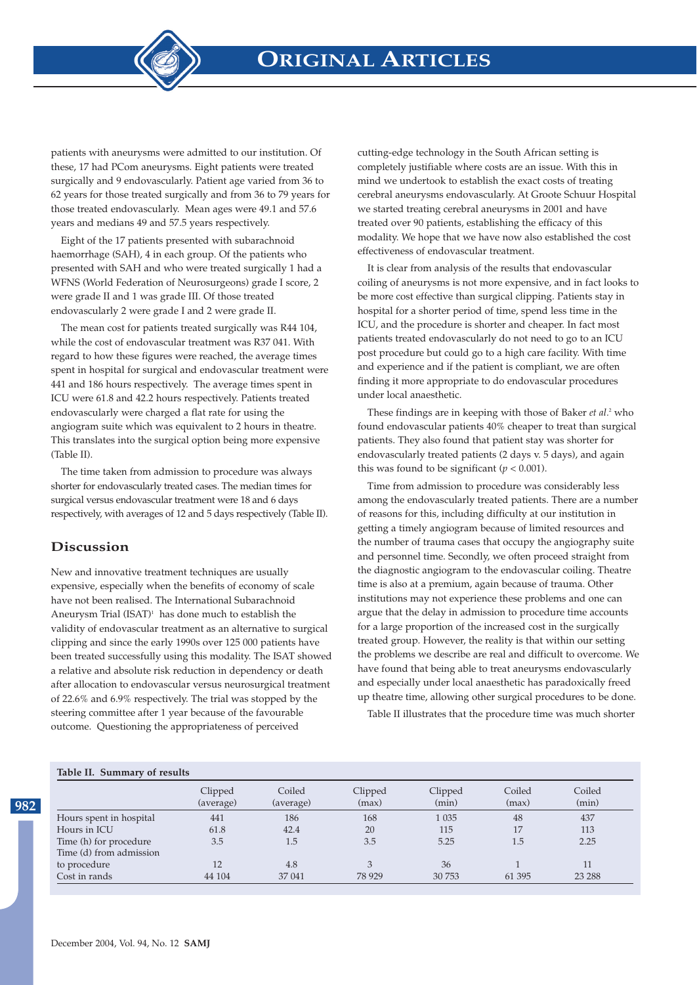**ORIGINAL ARTICLES**



patients with aneurysms were admitted to our institution. Of these, 17 had PCom aneurysms. Eight patients were treated surgically and 9 endovascularly. Patient age varied from 36 to 62 years for those treated surgically and from 36 to 79 years for those treated endovascularly. Mean ages were 49.1 and 57.6 years and medians 49 and 57.5 years respectively.

Eight of the 17 patients presented with subarachnoid haemorrhage (SAH), 4 in each group. Of the patients who presented with SAH and who were treated surgically 1 had a WFNS (World Federation of Neurosurgeons) grade I score, 2 were grade II and 1 was grade III. Of those treated endovascularly 2 were grade I and 2 were grade II.

The mean cost for patients treated surgically was R44 104, while the cost of endovascular treatment was R37 041. With regard to how these figures were reached, the average times spent in hospital for surgical and endovascular treatment were 441 and 186 hours respectively. The average times spent in ICU were 61.8 and 42.2 hours respectively. Patients treated endovascularly were charged a flat rate for using the angiogram suite which was equivalent to 2 hours in theatre. This translates into the surgical option being more expensive (Table II).

The time taken from admission to procedure was always shorter for endovascularly treated cases. The median times for surgical versus endovascular treatment were 18 and 6 days respectively, with averages of 12 and 5 days respectively (Table II).

#### **Discussion**

New and innovative treatment techniques are usually expensive, especially when the benefits of economy of scale have not been realised. The International Subarachnoid Aneurysm Trial  $(ISAT)^1$  has done much to establish the validity of endovascular treatment as an alternative to surgical clipping and since the early 1990s over 125 000 patients have been treated successfully using this modality. The ISAT showed a relative and absolute risk reduction in dependency or death after allocation to endovascular versus neurosurgical treatment of 22.6% and 6.9% respectively. The trial was stopped by the steering committee after 1 year because of the favourable outcome. Questioning the appropriateness of perceived

cutting-edge technology in the South African setting is completely justifiable where costs are an issue. With this in mind we undertook to establish the exact costs of treating cerebral aneurysms endovascularly. At Groote Schuur Hospital we started treating cerebral aneurysms in 2001 and have treated over 90 patients, establishing the efficacy of this modality. We hope that we have now also established the cost effectiveness of endovascular treatment.

It is clear from analysis of the results that endovascular coiling of aneurysms is not more expensive, and in fact looks to be more cost effective than surgical clipping. Patients stay in hospital for a shorter period of time, spend less time in the ICU, and the procedure is shorter and cheaper. In fact most patients treated endovascularly do not need to go to an ICU post procedure but could go to a high care facility. With time and experience and if the patient is compliant, we are often finding it more appropriate to do endovascular procedures under local anaesthetic.

These findings are in keeping with those of Baker *et al.*<sup>2</sup> who found endovascular patients 40% cheaper to treat than surgical patients. They also found that patient stay was shorter for endovascularly treated patients (2 days v. 5 days), and again this was found to be significant ( $p < 0.001$ ).

Time from admission to procedure was considerably less among the endovascularly treated patients. There are a number of reasons for this, including difficulty at our institution in getting a timely angiogram because of limited resources and the number of trauma cases that occupy the angiography suite and personnel time. Secondly, we often proceed straight from the diagnostic angiogram to the endovascular coiling. Theatre time is also at a premium, again because of trauma. Other institutions may not experience these problems and one can argue that the delay in admission to procedure time accounts for a large proportion of the increased cost in the surgically treated group. However, the reality is that within our setting the problems we describe are real and difficult to overcome. We have found that being able to treat aneurysms endovascularly and especially under local anaesthetic has paradoxically freed up theatre time, allowing other surgical procedures to be done.

Table II illustrates that the procedure time was much shorter

#### **Table II. Summary of results**

**982**

|                         | Clipped<br>(average) | Coiled<br>(average) | Clipped<br>(max) | Clipped<br>(min) | Coiled<br>(max) | Coiled<br>(min) |
|-------------------------|----------------------|---------------------|------------------|------------------|-----------------|-----------------|
| Hours spent in hospital | 441                  | 186                 | 168              | 1 0 3 5          | 48              | 437             |
| Hours in ICU            | 61.8                 | 42.4                | 20               | 115              | 17              | 113             |
| Time (h) for procedure  | 3.5                  | 1.5                 | 3.5              | 5.25             | 1.5             | 2.25            |
| Time (d) from admission |                      |                     |                  |                  |                 |                 |
| to procedure            | 12                   | 4.8                 |                  | 36               |                 | 11              |
| Cost in rands           | 44 104               | 37 041              | 78 9 29          | 30 753           | 61 395          | 23 28 8         |